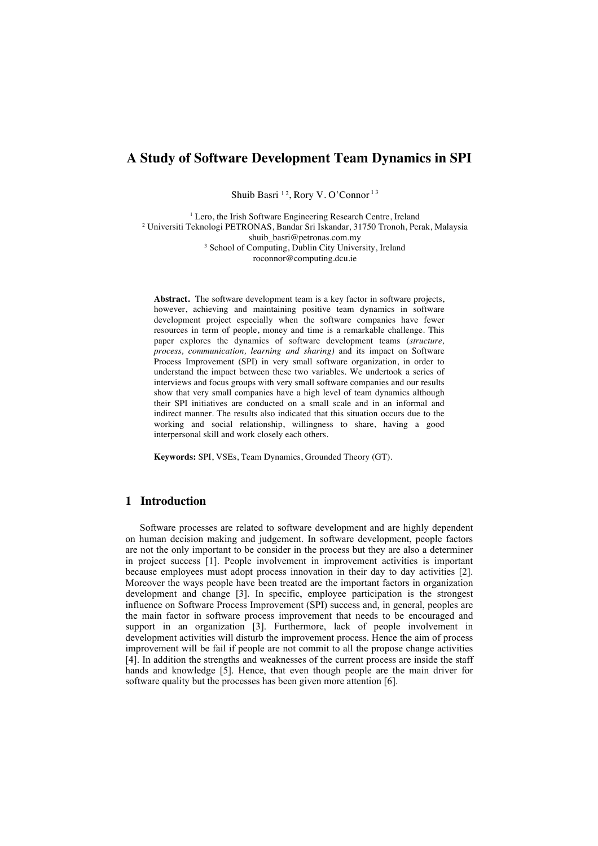# **A Study of Software Development Team Dynamics in SPI**

Shuib Basri <sup>12</sup>, Rory V. O'Connor<sup>13</sup>

<sup>1</sup> Lero, the Irish Software Engineering Research Centre, Ireland <sup>2</sup> Universiti Teknologi PETRONAS, Bandar Sri Iskandar, 31750 Tronoh, Perak, Malaysia shuib\_basri@petronas.com.my <sup>3</sup> School of Computing, Dublin City University, Ireland roconnor@computing.dcu.ie

**Abstract.** The software development team is a key factor in software projects, however, achieving and maintaining positive team dynamics in software development project especially when the software companies have fewer resources in term of people, money and time is a remarkable challenge. This paper explores the dynamics of software development teams (*structure, process, communication, learning and sharing)* and its impact on Software Process Improvement (SPI) in very small software organization, in order to understand the impact between these two variables. We undertook a series of interviews and focus groups with very small software companies and our results show that very small companies have a high level of team dynamics although their SPI initiatives are conducted on a small scale and in an informal and indirect manner. The results also indicated that this situation occurs due to the working and social relationship, willingness to share, having a good interpersonal skill and work closely each others.

**Keywords:** SPI, VSEs, Team Dynamics, Grounded Theory (GT).

# **1 Introduction**

Software processes are related to software development and are highly dependent on human decision making and judgement. In software development, people factors are not the only important to be consider in the process but they are also a determiner in project success [1]. People involvement in improvement activities is important because employees must adopt process innovation in their day to day activities [2]. Moreover the ways people have been treated are the important factors in organization development and change [3]. In specific, employee participation is the strongest influence on Software Process Improvement (SPI) success and, in general, peoples are the main factor in software process improvement that needs to be encouraged and support in an organization [3]. Furthermore, lack of people involvement in development activities will disturb the improvement process. Hence the aim of process improvement will be fail if people are not commit to all the propose change activities [4]. In addition the strengths and weaknesses of the current process are inside the staff hands and knowledge [5]. Hence, that even though people are the main driver for software quality but the processes has been given more attention [6].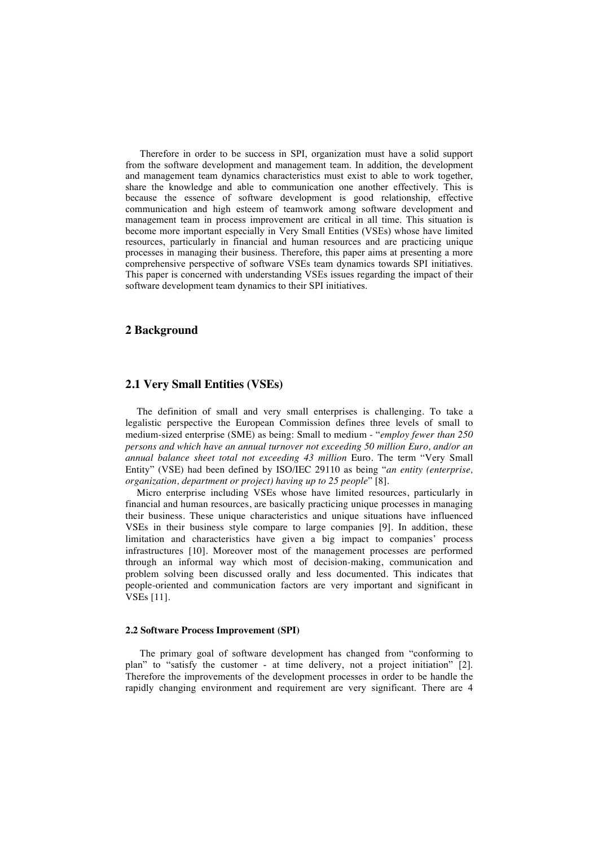Therefore in order to be success in SPI, organization must have a solid support from the software development and management team. In addition, the development and management team dynamics characteristics must exist to able to work together, share the knowledge and able to communication one another effectively. This is because the essence of software development is good relationship, effective communication and high esteem of teamwork among software development and management team in process improvement are critical in all time. This situation is become more important especially in Very Small Entities (VSEs) whose have limited resources, particularly in financial and human resources and are practicing unique processes in managing their business. Therefore, this paper aims at presenting a more comprehensive perspective of software VSEs team dynamics towards SPI initiatives. This paper is concerned with understanding VSEs issues regarding the impact of their software development team dynamics to their SPI initiatives.

# **2 Background**

## **2.1 Very Small Entities (VSEs)**

The definition of small and very small enterprises is challenging. To take a legalistic perspective the European Commission defines three levels of small to medium-sized enterprise (SME) as being: Small to medium - "*employ fewer than 250 persons and which have an annual turnover not exceeding 50 million Euro, and/or an annual balance sheet total not exceeding 43 million* Euro. The term "Very Small Entity" (VSE) had been defined by ISO/IEC 29110 as being "*an entity (enterprise, organization, department or project) having up to 25 people*" [8].

Micro enterprise including VSEs whose have limited resources, particularly in financial and human resources, are basically practicing unique processes in managing their business. These unique characteristics and unique situations have influenced VSEs in their business style compare to large companies [9]. In addition, these limitation and characteristics have given a big impact to companies' process infrastructures [10]. Moreover most of the management processes are performed through an informal way which most of decision-making, communication and problem solving been discussed orally and less documented. This indicates that people-oriented and communication factors are very important and significant in VSEs [11].

#### **2.2 Software Process Improvement (SPI)**

The primary goal of software development has changed from "conforming to plan" to "satisfy the customer - at time delivery, not a project initiation" [2]. Therefore the improvements of the development processes in order to be handle the rapidly changing environment and requirement are very significant. There are 4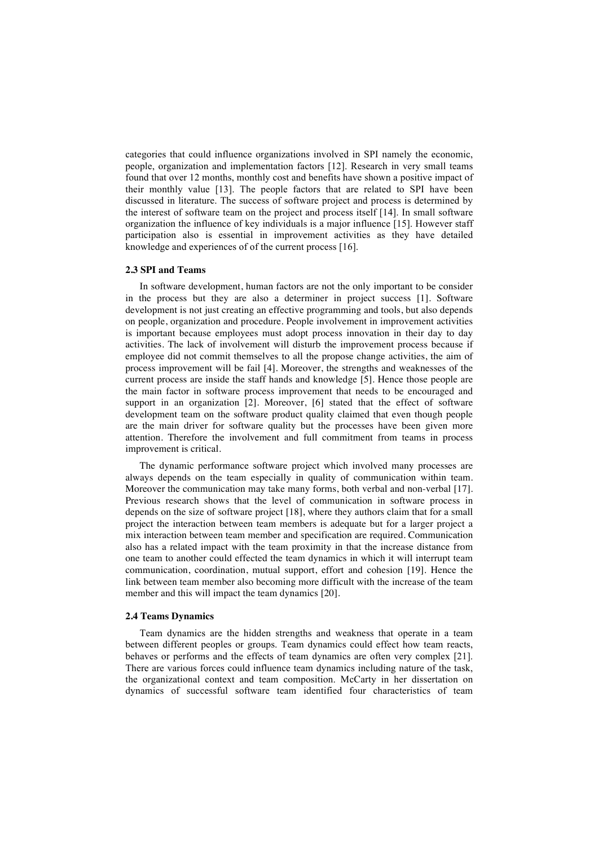categories that could influence organizations involved in SPI namely the economic, people, organization and implementation factors [12]. Research in very small teams found that over 12 months, monthly cost and benefits have shown a positive impact of their monthly value [13]. The people factors that are related to SPI have been discussed in literature. The success of software project and process is determined by the interest of software team on the project and process itself [14]. In small software organization the influence of key individuals is a major influence [15]. However staff participation also is essential in improvement activities as they have detailed knowledge and experiences of of the current process [16].

### **2.3 SPI and Teams**

In software development, human factors are not the only important to be consider in the process but they are also a determiner in project success [1]. Software development is not just creating an effective programming and tools, but also depends on people, organization and procedure. People involvement in improvement activities is important because employees must adopt process innovation in their day to day activities. The lack of involvement will disturb the improvement process because if employee did not commit themselves to all the propose change activities, the aim of process improvement will be fail [4]. Moreover, the strengths and weaknesses of the current process are inside the staff hands and knowledge [5]. Hence those people are the main factor in software process improvement that needs to be encouraged and support in an organization [2]. Moreover, [6] stated that the effect of software development team on the software product quality claimed that even though people are the main driver for software quality but the processes have been given more attention. Therefore the involvement and full commitment from teams in process improvement is critical.

The dynamic performance software project which involved many processes are always depends on the team especially in quality of communication within team. Moreover the communication may take many forms, both verbal and non-verbal [17]. Previous research shows that the level of communication in software process in depends on the size of software project [18], where they authors claim that for a small project the interaction between team members is adequate but for a larger project a mix interaction between team member and specification are required. Communication also has a related impact with the team proximity in that the increase distance from one team to another could effected the team dynamics in which it will interrupt team communication, coordination, mutual support, effort and cohesion [19]. Hence the link between team member also becoming more difficult with the increase of the team member and this will impact the team dynamics [20].

### **2.4 Teams Dynamics**

Team dynamics are the hidden strengths and weakness that operate in a team between different peoples or groups. Team dynamics could effect how team reacts, behaves or performs and the effects of team dynamics are often very complex [21]. There are various forces could influence team dynamics including nature of the task, the organizational context and team composition. McCarty in her dissertation on dynamics of successful software team identified four characteristics of team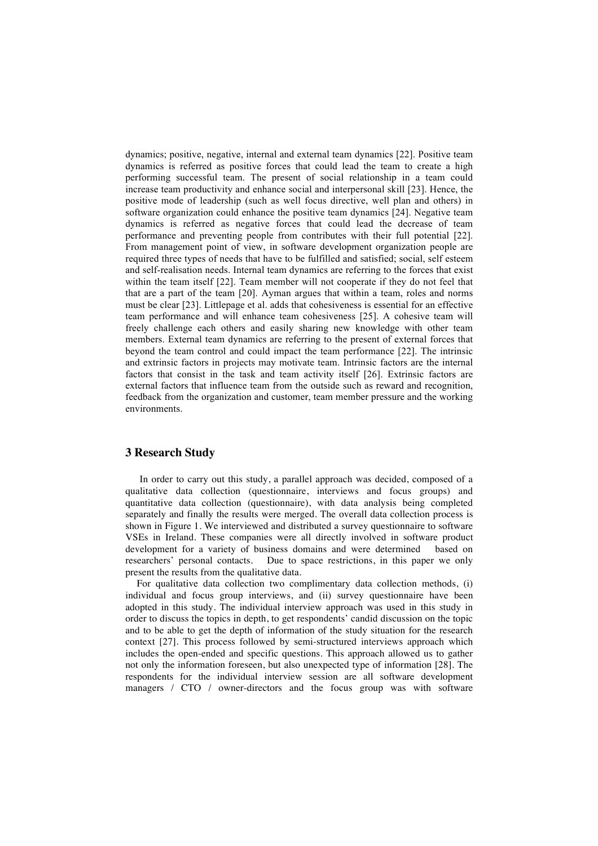dynamics; positive, negative, internal and external team dynamics [22]. Positive team dynamics is referred as positive forces that could lead the team to create a high performing successful team. The present of social relationship in a team could increase team productivity and enhance social and interpersonal skill [23]. Hence, the positive mode of leadership (such as well focus directive, well plan and others) in software organization could enhance the positive team dynamics [24]. Negative team dynamics is referred as negative forces that could lead the decrease of team performance and preventing people from contributes with their full potential [22]. From management point of view, in software development organization people are required three types of needs that have to be fulfilled and satisfied; social, self esteem and self-realisation needs. Internal team dynamics are referring to the forces that exist within the team itself [22]. Team member will not cooperate if they do not feel that that are a part of the team [20]. Ayman argues that within a team, roles and norms must be clear [23]. Littlepage et al. adds that cohesiveness is essential for an effective team performance and will enhance team cohesiveness [25]. A cohesive team will freely challenge each others and easily sharing new knowledge with other team members. External team dynamics are referring to the present of external forces that beyond the team control and could impact the team performance [22]. The intrinsic and extrinsic factors in projects may motivate team. Intrinsic factors are the internal factors that consist in the task and team activity itself [26]. Extrinsic factors are external factors that influence team from the outside such as reward and recognition, feedback from the organization and customer, team member pressure and the working environments.

### **3 Research Study**

In order to carry out this study, a parallel approach was decided, composed of a qualitative data collection (questionnaire, interviews and focus groups) and quantitative data collection (questionnaire), with data analysis being completed separately and finally the results were merged. The overall data collection process is shown in Figure 1. We interviewed and distributed a survey questionnaire to software VSEs in Ireland. These companies were all directly involved in software product development for a variety of business domains and were determined based on researchers' personal contacts. Due to space restrictions, in this paper we only present the results from the qualitative data.

For qualitative data collection two complimentary data collection methods, (i) individual and focus group interviews, and (ii) survey questionnaire have been adopted in this study. The individual interview approach was used in this study in order to discuss the topics in depth, to get respondents' candid discussion on the topic and to be able to get the depth of information of the study situation for the research context [27]. This process followed by semi-structured interviews approach which includes the open-ended and specific questions. This approach allowed us to gather not only the information foreseen, but also unexpected type of information [28]. The respondents for the individual interview session are all software development managers / CTO / owner-directors and the focus group was with software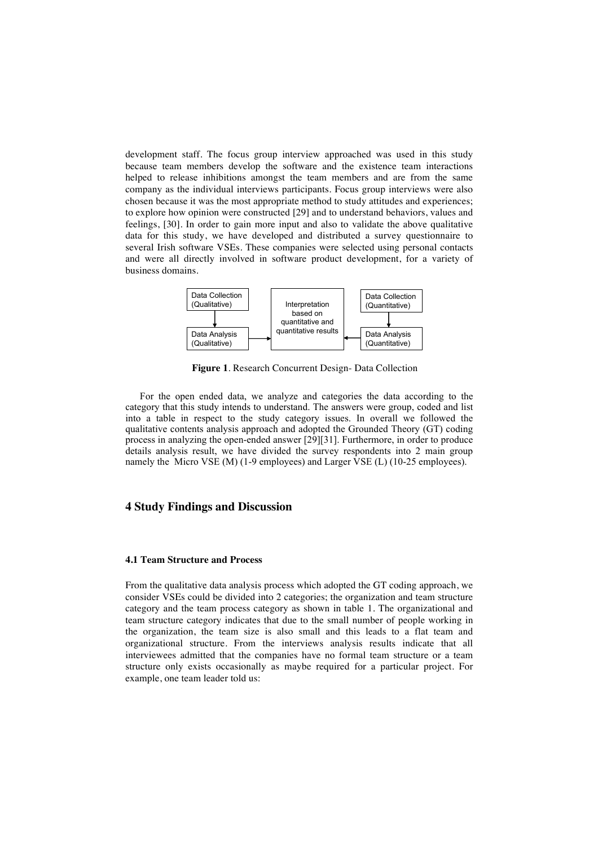development staff. The focus group interview approached was used in this study because team members develop the software and the existence team interactions helped to release inhibitions amongst the team members and are from the same company as the individual interviews participants. Focus group interviews were also chosen because it was the most appropriate method to study attitudes and experiences; to explore how opinion were constructed [29] and to understand behaviors, values and feelings, [30]. In order to gain more input and also to validate the above qualitative data for this study, we have developed and distributed a survey questionnaire to several Irish software VSEs. These companies were selected using personal contacts and were all directly involved in software product development, for a variety of business domains.



**Figure 1**. Research Concurrent Design- Data Collection

For the open ended data, we analyze and categories the data according to the category that this study intends to understand. The answers were group, coded and list into a table in respect to the study category issues. In overall we followed the qualitative contents analysis approach and adopted the Grounded Theory (GT) coding process in analyzing the open-ended answer [29][31]. Furthermore, in order to produce details analysis result, we have divided the survey respondents into 2 main group namely the Micro VSE (M) (1-9 employees) and Larger VSE (L) (10-25 employees).

### **4 Study Findings and Discussion**

#### **4.1 Team Structure and Process**

From the qualitative data analysis process which adopted the GT coding approach, we consider VSEs could be divided into 2 categories; the organization and team structure category and the team process category as shown in table 1. The organizational and team structure category indicates that due to the small number of people working in the organization, the team size is also small and this leads to a flat team and organizational structure. From the interviews analysis results indicate that all interviewees admitted that the companies have no formal team structure or a team structure only exists occasionally as maybe required for a particular project. For example, one team leader told us: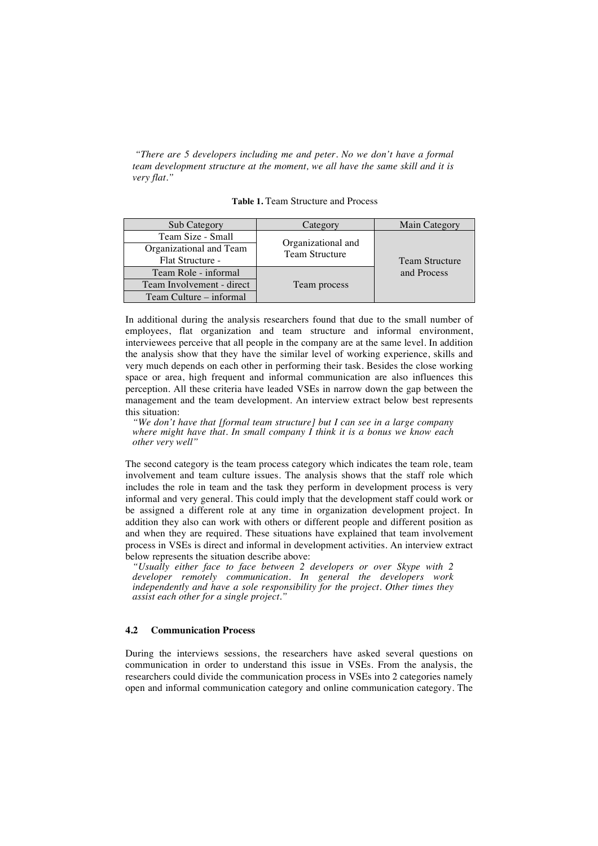*"There are 5 developers including me and peter. No we don't have a formal team development structure at the moment, we all have the same skill and it is very flat."*

| Sub Category              | Category                                    | Main Category                        |
|---------------------------|---------------------------------------------|--------------------------------------|
| Team Size - Small         | Organizational and<br><b>Team Structure</b> | <b>Team Structure</b><br>and Process |
| Organizational and Team   |                                             |                                      |
| Flat Structure -          |                                             |                                      |
| Team Role - informal      | Team process                                |                                      |
| Team Involvement - direct |                                             |                                      |
| Team Culture – informal   |                                             |                                      |

**Table 1.** Team Structure and Process

In additional during the analysis researchers found that due to the small number of employees, flat organization and team structure and informal environment, interviewees perceive that all people in the company are at the same level. In addition the analysis show that they have the similar level of working experience, skills and very much depends on each other in performing their task. Besides the close working space or area, high frequent and informal communication are also influences this perception. All these criteria have leaded VSEs in narrow down the gap between the management and the team development. An interview extract below best represents this situation:

*"We don't have that [formal team structure] but I can see in a large company where might have that. In small company I think it is a bonus we know each other very well"*

The second category is the team process category which indicates the team role, team involvement and team culture issues. The analysis shows that the staff role which includes the role in team and the task they perform in development process is very informal and very general. This could imply that the development staff could work or be assigned a different role at any time in organization development project. In addition they also can work with others or different people and different position as and when they are required. These situations have explained that team involvement process in VSEs is direct and informal in development activities. An interview extract below represents the situation describe above:

*"Usually either face to face between 2 developers or over Skype with 2 developer remotely communication. In general the developers work independently and have a sole responsibility for the project. Other times they assist each other for a single project."*

### **4.2 Communication Process**

During the interviews sessions, the researchers have asked several questions on communication in order to understand this issue in VSEs. From the analysis, the researchers could divide the communication process in VSEs into 2 categories namely open and informal communication category and online communication category. The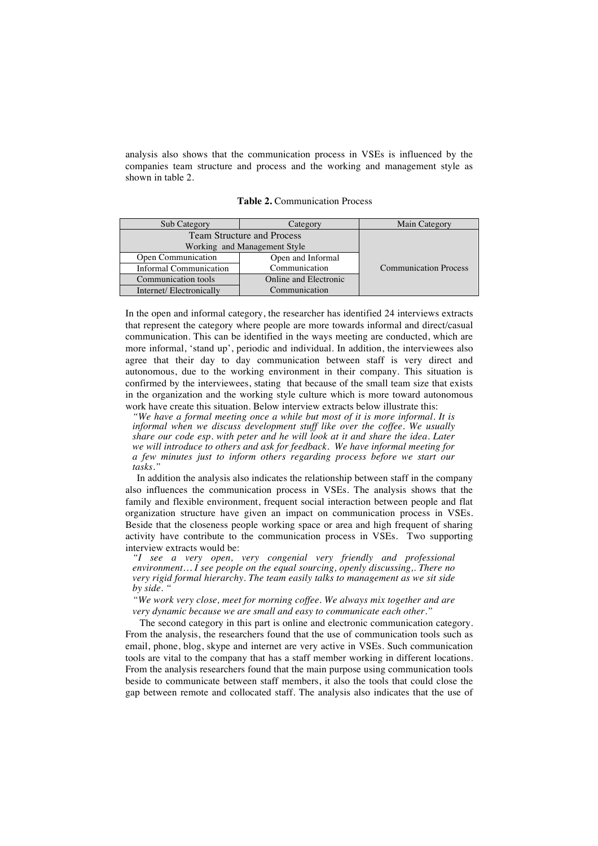analysis also shows that the communication process in VSEs is influenced by the companies team structure and process and the working and management style as shown in table 2.

| <b>Sub Category</b>               | Category              | Main Category                |
|-----------------------------------|-----------------------|------------------------------|
| <b>Team Structure and Process</b> |                       |                              |
| Working and Management Style      |                       |                              |
| Open Communication                | Open and Informal     |                              |
| Informal Communication            | Communication         | <b>Communication Process</b> |
| Communication tools               | Online and Electronic |                              |
| Internet/Electronically           | Communication         |                              |

**Table 2.** Communication Process

In the open and informal category, the researcher has identified 24 interviews extracts that represent the category where people are more towards informal and direct/casual communication. This can be identified in the ways meeting are conducted, which are more informal, 'stand up', periodic and individual. In addition, the interviewees also agree that their day to day communication between staff is very direct and autonomous, due to the working environment in their company. This situation is confirmed by the interviewees, stating that because of the small team size that exists in the organization and the working style culture which is more toward autonomous work have create this situation. Below interview extracts below illustrate this:

*"We have a formal meeting once a while but most of it is more informal. It is informal when we discuss development stuff like over the coffee. We usually share our code esp. with peter and he will look at it and share the idea. Later we will introduce to others and ask for feedback. We have informal meeting for a few minutes just to inform others regarding process before we start our tasks."*

In addition the analysis also indicates the relationship between staff in the company also influences the communication process in VSEs. The analysis shows that the family and flexible environment, frequent social interaction between people and flat organization structure have given an impact on communication process in VSEs. Beside that the closeness people working space or area and high frequent of sharing activity have contribute to the communication process in VSEs. Two supporting interview extracts would be:

*"I see a very open, very congenial very friendly and professional environment… I see people on the equal sourcing, openly discussing,. There no very rigid formal hierarchy. The team easily talks to management as we sit side by side. "*

*"We work very close, meet for morning coffee. We always mix together and are very dynamic because we are small and easy to communicate each other."*

The second category in this part is online and electronic communication category. From the analysis, the researchers found that the use of communication tools such as email, phone, blog, skype and internet are very active in VSEs. Such communication tools are vital to the company that has a staff member working in different locations. From the analysis researchers found that the main purpose using communication tools beside to communicate between staff members, it also the tools that could close the gap between remote and collocated staff. The analysis also indicates that the use of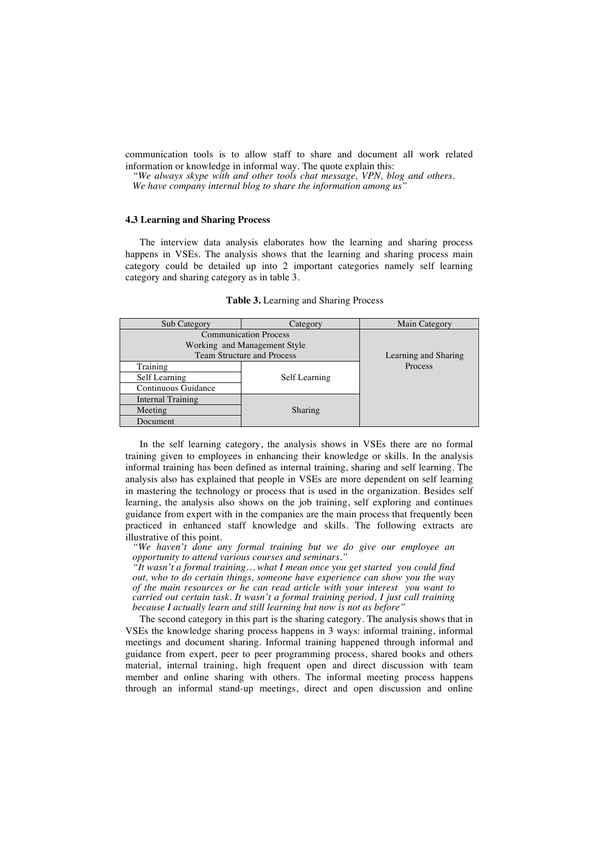communication tools is to allow staff to share and document all work related information or knowledge in informal way. The quote explain this:

*"We always skype with and other tools chat message, VPN, blog and others.* 

*We have company internal blog to share the information among us"*

### **4.3 Learning and Sharing Process**

The interview data analysis elaborates how the learning and sharing process happens in VSEs. The analysis shows that the learning and sharing process main category could be detailed up into 2 important categories namely self learning category and sharing category as in table 3.

| <b>Sub Category</b>               | Category      | Main Category        |
|-----------------------------------|---------------|----------------------|
| <b>Communication Process</b>      |               |                      |
| Working and Management Style      |               |                      |
| <b>Team Structure and Process</b> |               | Learning and Sharing |
| Training                          |               | Process              |
| Self Learning                     | Self Learning |                      |
| Continuous Guidance               |               |                      |
| Internal Training                 |               |                      |
| Meeting                           | Sharing       |                      |
| Document                          |               |                      |

**Table 3.** Learning and Sharing Process

In the self learning category, the analysis shows in VSEs there are no formal training given to employees in enhancing their knowledge or skills. In the analysis informal training has been defined as internal training, sharing and self learning. The analysis also has explained that people in VSEs are more dependent on self learning in mastering the technology or process that is used in the organization. Besides self learning, the analysis also shows on the job training, self exploring and continues guidance from expert with in the companies are the main process that frequently been practiced in enhanced staff knowledge and skills. The following extracts are illustrative of this point.

*"We haven't done any formal training but we do give our employee an opportunity to attend various courses and seminars."*

*"It wasn't a formal training… what I mean once you get started you could find out, who to do certain things, someone have experience can show you the way of the main resources or he can read article with your interest you want to carried out certain task. It wasn't a formal training period, I just call training because I actually learn and still learning but now is not as before"*

The second category in this part is the sharing category. The analysis shows that in VSEs the knowledge sharing process happens in 3 ways: informal training, informal meetings and document sharing. Informal training happened through informal and guidance from expert, peer to peer programming process, shared books and others material, internal training, high frequent open and direct discussion with team member and online sharing with others. The informal meeting process happens through an informal stand-up meetings, direct and open discussion and online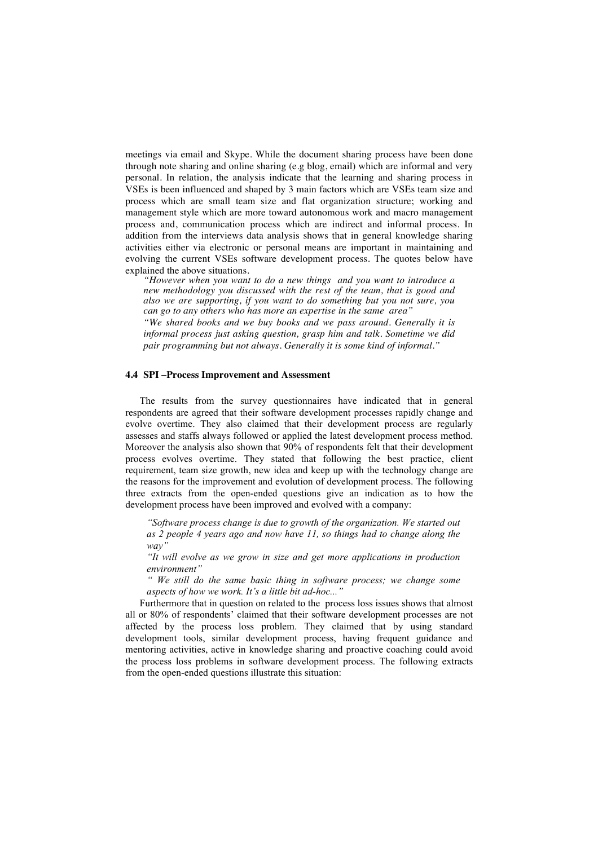meetings via email and Skype. While the document sharing process have been done through note sharing and online sharing (e.g blog, email) which are informal and very personal. In relation, the analysis indicate that the learning and sharing process in VSEs is been influenced and shaped by 3 main factors which are VSEs team size and process which are small team size and flat organization structure; working and management style which are more toward autonomous work and macro management process and, communication process which are indirect and informal process. In addition from the interviews data analysis shows that in general knowledge sharing activities either via electronic or personal means are important in maintaining and evolving the current VSEs software development process. The quotes below have explained the above situations.

*"However when you want to do a new things and you want to introduce a new methodology you discussed with the rest of the team, that is good and also we are supporting, if you want to do something but you not sure, you can go to any others who has more an expertise in the same area"*

*"We shared books and we buy books and we pass around. Generally it is informal process just asking question, grasp him and talk. Sometime we did pair programming but not always. Generally it is some kind of informal."*

#### **4.4 SPI –Process Improvement and Assessment**

The results from the survey questionnaires have indicated that in general respondents are agreed that their software development processes rapidly change and evolve overtime. They also claimed that their development process are regularly assesses and staffs always followed or applied the latest development process method. Moreover the analysis also shown that 90% of respondents felt that their development process evolves overtime. They stated that following the best practice, client requirement, team size growth, new idea and keep up with the technology change are the reasons for the improvement and evolution of development process. The following three extracts from the open-ended questions give an indication as to how the development process have been improved and evolved with a company:

*"Software process change is due to growth of the organization. We started out as 2 people 4 years ago and now have 11, so things had to change along the way"*

*"It will evolve as we grow in size and get more applications in production environment"*

*" We still do the same basic thing in software process; we change some aspects of how we work. It's a little bit ad-hoc..."*

Furthermore that in question on related to the process loss issues shows that almost all or 80% of respondents' claimed that their software development processes are not affected by the process loss problem. They claimed that by using standard development tools, similar development process, having frequent guidance and mentoring activities, active in knowledge sharing and proactive coaching could avoid the process loss problems in software development process. The following extracts from the open-ended questions illustrate this situation: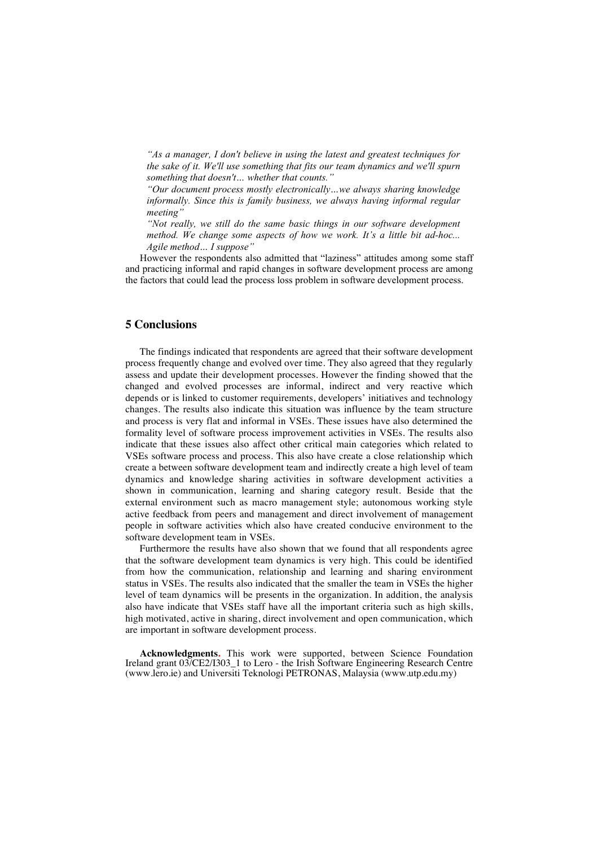*"As a manager, I don't believe in using the latest and greatest techniques for the sake of it. We'll use something that fits our team dynamics and we'll spurn something that doesn't… whether that counts."*

*"Our document process mostly electronically…we always sharing knowledge informally. Since this is family business, we always having informal regular meeting"*

*"Not really, we still do the same basic things in our software development method. We change some aspects of how we work. It's a little bit ad-hoc... Agile method… I suppose"*

However the respondents also admitted that "laziness" attitudes among some staff and practicing informal and rapid changes in software development process are among the factors that could lead the process loss problem in software development process.

# **5 Conclusions**

The findings indicated that respondents are agreed that their software development process frequently change and evolved over time. They also agreed that they regularly assess and update their development processes. However the finding showed that the changed and evolved processes are informal, indirect and very reactive which depends or is linked to customer requirements, developers' initiatives and technology changes. The results also indicate this situation was influence by the team structure and process is very flat and informal in VSEs. These issues have also determined the formality level of software process improvement activities in VSEs. The results also indicate that these issues also affect other critical main categories which related to VSEs software process and process. This also have create a close relationship which create a between software development team and indirectly create a high level of team dynamics and knowledge sharing activities in software development activities a shown in communication, learning and sharing category result. Beside that the external environment such as macro management style; autonomous working style active feedback from peers and management and direct involvement of management people in software activities which also have created conducive environment to the software development team in VSEs.

Furthermore the results have also shown that we found that all respondents agree that the software development team dynamics is very high. This could be identified from how the communication, relationship and learning and sharing environment status in VSEs. The results also indicated that the smaller the team in VSEs the higher level of team dynamics will be presents in the organization. In addition, the analysis also have indicate that VSEs staff have all the important criteria such as high skills, high motivated, active in sharing, direct involvement and open communication, which are important in software development process.

**Acknowledgments.** This work were supported, between Science Foundation Ireland grant 03/CE2/I303\_1 to Lero - the Irish Software Engineering Research Centre (www.lero.ie) and Universiti Teknologi PETRONAS, Malaysia (www.utp.edu.my)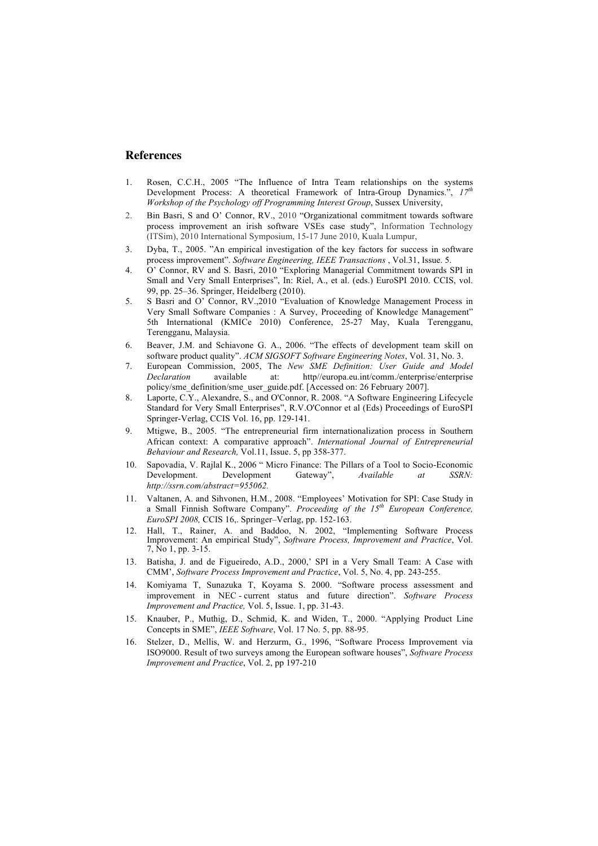### **References**

- 1. Rosen, C.C.H., 2005 "The Influence of Intra Team relationships on the systems Development Process: A theoretical Framework of Intra-Group Dynamics.", *17th Workshop of the Psychology off Programming Interest Group*, Sussex University,
- 2. Bin Basri, S and O' Connor, RV., 2010 "Organizational commitment towards software process improvement an irish software VSEs case study", Information Technology (ITSim), 2010 International Symposium, 15-17 June 2010, Kuala Lumpur,
- 3. Dyba, T., 2005. "An empirical investigation of the key factors for success in software process improvement". *Software Engineering, IEEE Transactions* , Vol.31, Issue. 5.
- 4. O' Connor, RV and S. Basri, 2010 "Exploring Managerial Commitment towards SPI in Small and Very Small Enterprises", In: Riel, A., et al. (eds.) EuroSPI 2010. CCIS, vol. 99, pp. 25–36. Springer, Heidelberg (2010).
- 5. S Basri and O' Connor, RV.,2010 "Evaluation of Knowledge Management Process in Very Small Software Companies : A Survey, Proceeding of Knowledge Management" 5th International (KMICe 2010) Conference, 25-27 May, Kuala Terengganu, Terengganu, Malaysia.
- 6. Beaver, J.M. and Schiavone G. A., 2006. "The effects of development team skill on software product quality". *ACM SIGSOFT Software Engineering Notes*, Vol. 31, No. 3.
- 7. European Commission, 2005, The *New SME Definition: User Guide and Model Declaration* available at: http//europa.eu.int/comm./enterprise/enterprise policy/sme\_definition/sme\_user\_guide.pdf. [Accessed on: 26 February 2007].
- 8. Laporte, C.Y., Alexandre, S., and O'Connor, R. 2008. "A Software Engineering Lifecycle Standard for Very Small Enterprises", R.V.O'Connor et al (Eds) Proceedings of EuroSPI Springer-Verlag, CCIS Vol. 16, pp. 129-141.
- 9. Mtigwe, B., 2005. "The entrepreneurial firm internationalization process in Southern African context: A comparative approach". *International Journal of Entrepreneurial Behaviour and Research,* Vol.11, Issue. 5, pp 358-377.
- 10. Sapovadia, V. Rajlal K., 2006 " Micro Finance: The Pillars of a Tool to Socio-Economic Development. Development Gateway", *Available at SSRN: http://ssrn.com/abstract=955062.*
- 11. Valtanen, A. and Sihvonen, H.M., 2008. "Employees' Motivation for SPI: Case Study in a Small Finnish Software Company". *Proceeding of the 15th European Conference, EuroSPI 2008,* CCIS 16,. Springer–Verlag, pp. 152-163.
- 12. Hall, T., Rainer, A. and Baddoo, N. 2002, "Implementing Software Process Improvement: An empirical Study", *Software Process, Improvement and Practice*, Vol. 7, No 1, pp. 3-15.
- 13. Batisha, J. and de Figueiredo, A.D., 2000,' SPI in a Very Small Team: A Case with CMM', *Software Process Improvement and Practice*, Vol. 5, No. 4, pp. 243-255.
- 14. Komiyama T, Sunazuka T, Koyama S. 2000. "Software process assessment and improvement in NEC - current status and future direction". *Software Process Improvement and Practice,* Vol. 5, Issue. 1, pp. 31-43.
- 15. Knauber, P., Muthig, D., Schmid, K. and Widen, T., 2000. "Applying Product Line Concepts in SME", *IEEE Software*, Vol. 17 No. 5, pp. 88-95.
- 16. Stelzer, D., Mellis, W. and Herzurm, G., 1996, "Software Process Improvement via ISO9000. Result of two surveys among the European software houses", *Software Process Improvement and Practice*, Vol. 2, pp 197-210